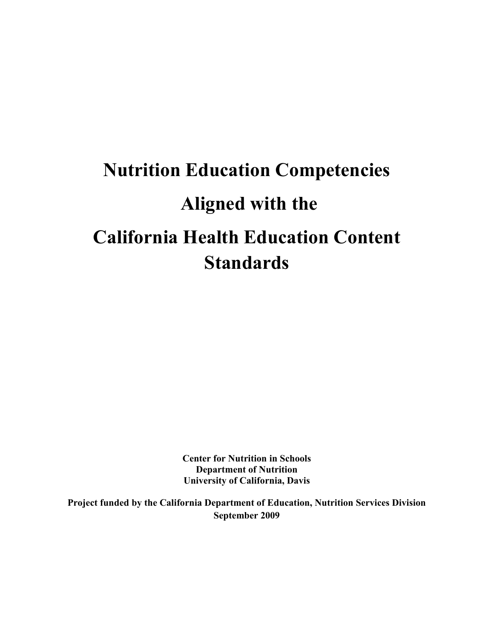**Center for Nutrition in Schools Department of Nutrition University of California, Davis**

**Project funded by the California Department of Education, Nutrition Services Division September 2009**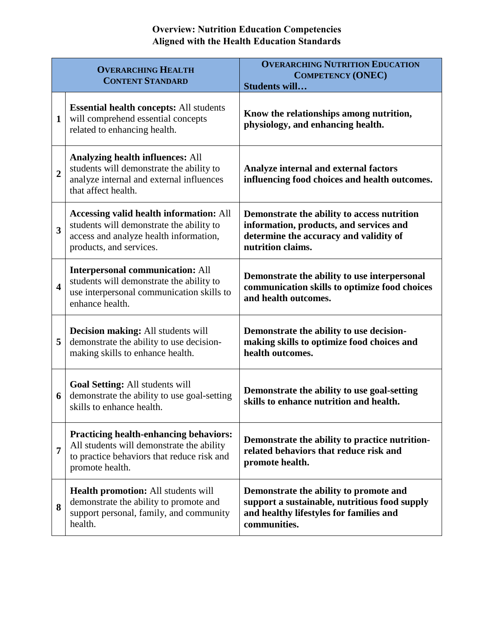# **Overview: Nutrition Education Competencies Aligned with the Health Education Standards**

|                         | <b>OVERARCHING HEALTH</b><br><b>CONTENT STANDARD</b>                                                                                                            | <b>OVERARCHING NUTRITION EDUCATION</b><br><b>COMPETENCY (ONEC)</b><br>Students will                                                                   |
|-------------------------|-----------------------------------------------------------------------------------------------------------------------------------------------------------------|-------------------------------------------------------------------------------------------------------------------------------------------------------|
| $\mathbf{1}$            | <b>Essential health concepts: All students</b><br>will comprehend essential concepts<br>related to enhancing health.                                            | Know the relationships among nutrition,<br>physiology, and enhancing health.                                                                          |
| $\overline{2}$          | <b>Analyzing health influences: All</b><br>students will demonstrate the ability to<br>analyze internal and external influences<br>that affect health.          | Analyze internal and external factors<br>influencing food choices and health outcomes.                                                                |
| $\overline{\mathbf{3}}$ | <b>Accessing valid health information: All</b><br>students will demonstrate the ability to<br>access and analyze health information,<br>products, and services. | Demonstrate the ability to access nutrition<br>information, products, and services and<br>determine the accuracy and validity of<br>nutrition claims. |
| $\overline{\mathbf{4}}$ | <b>Interpersonal communication: All</b><br>students will demonstrate the ability to<br>use interpersonal communication skills to<br>enhance health.             | Demonstrate the ability to use interpersonal<br>communication skills to optimize food choices<br>and health outcomes.                                 |
| 5                       | <b>Decision making:</b> All students will<br>demonstrate the ability to use decision-<br>making skills to enhance health.                                       | Demonstrate the ability to use decision-<br>making skills to optimize food choices and<br>health outcomes.                                            |
| 6                       | Goal Setting: All students will<br>demonstrate the ability to use goal-setting<br>skills to enhance health.                                                     | Demonstrate the ability to use goal-setting<br>skills to enhance nutrition and health.                                                                |
| $\overline{7}$          | <b>Practicing health-enhancing behaviors:</b><br>All students will demonstrate the ability<br>to practice behaviors that reduce risk and<br>promote health.     | Demonstrate the ability to practice nutrition-<br>related behaviors that reduce risk and<br>promote health.                                           |
| 8                       | <b>Health promotion:</b> All students will<br>demonstrate the ability to promote and<br>support personal, family, and community<br>health.                      | Demonstrate the ability to promote and<br>support a sustainable, nutritious food supply<br>and healthy lifestyles for families and<br>communities.    |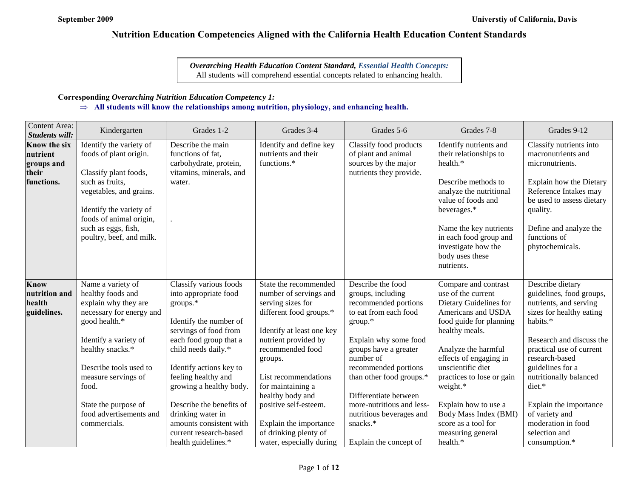*Overarching Health Education Content Standard, Essential Health Concepts:* All students will comprehend essential concepts related to enhancing health.

## **Corresponding** *Overarching Nutrition Education Competency 1:*

## ⇒ **All students will know the relationships among nutrition, physiology, and enhancing health.**

| <b>Content Area:</b><br>Students will:                               | Kindergarten                                                                                                                                                                                                       | Grades 1-2                                                                                                                                                                                                                                   | Grades 3-4                                                                                                                                                                                                                       | Grades 5-6                                                                                                                                                                                                            | Grades 7-8                                                                                                                                                                                                                                             | Grades 9-12                                                                                                                                                                                                                                      |
|----------------------------------------------------------------------|--------------------------------------------------------------------------------------------------------------------------------------------------------------------------------------------------------------------|----------------------------------------------------------------------------------------------------------------------------------------------------------------------------------------------------------------------------------------------|----------------------------------------------------------------------------------------------------------------------------------------------------------------------------------------------------------------------------------|-----------------------------------------------------------------------------------------------------------------------------------------------------------------------------------------------------------------------|--------------------------------------------------------------------------------------------------------------------------------------------------------------------------------------------------------------------------------------------------------|--------------------------------------------------------------------------------------------------------------------------------------------------------------------------------------------------------------------------------------------------|
| <b>Know the six</b><br>nutrient<br>groups and<br>their<br>functions. | Identify the variety of<br>foods of plant origin.<br>Classify plant foods,<br>such as fruits,<br>vegetables, and grains.<br>Identify the variety of                                                                | Describe the main<br>functions of fat,<br>carbohydrate, protein,<br>vitamins, minerals, and<br>water.                                                                                                                                        | Identify and define key<br>nutrients and their<br>functions.*                                                                                                                                                                    | Classify food products<br>of plant and animal<br>sources by the major<br>nutrients they provide.                                                                                                                      | Identify nutrients and<br>their relationships to<br>health.*<br>Describe methods to<br>analyze the nutritional<br>value of foods and<br>beverages.*                                                                                                    | Classify nutrients into<br>macronutrients and<br>micronutrients.<br>Explain how the Dietary<br>Reference Intakes may<br>be used to assess dietary<br>quality.                                                                                    |
|                                                                      | foods of animal origin,<br>such as eggs, fish,<br>poultry, beef, and milk.                                                                                                                                         |                                                                                                                                                                                                                                              |                                                                                                                                                                                                                                  |                                                                                                                                                                                                                       | Name the key nutrients<br>in each food group and<br>investigate how the<br>body uses these<br>nutrients.                                                                                                                                               | Define and analyze the<br>functions of<br>phytochemicals.                                                                                                                                                                                        |
| <b>Know</b><br>nutrition and<br>health<br>guidelines.                | Name a variety of<br>healthy foods and<br>explain why they are<br>necessary for energy and<br>good health.*<br>Identify a variety of<br>healthy snacks.*<br>Describe tools used to<br>measure servings of<br>food. | Classify various foods<br>into appropriate food<br>groups.*<br>Identify the number of<br>servings of food from<br>each food group that a<br>child needs daily.*<br>Identify actions key to<br>feeling healthy and<br>growing a healthy body. | State the recommended<br>number of servings and<br>serving sizes for<br>different food groups.*<br>Identify at least one key<br>nutrient provided by<br>recommended food<br>groups.<br>List recommendations<br>for maintaining a | Describe the food<br>groups, including<br>recommended portions<br>to eat from each food<br>group.*<br>Explain why some food<br>groups have a greater<br>number of<br>recommended portions<br>than other food groups.* | Compare and contrast<br>use of the current<br>Dietary Guidelines for<br>Americans and USDA<br>food guide for planning<br>healthy meals.<br>Analyze the harmful<br>effects of engaging in<br>unscientific diet<br>practices to lose or gain<br>weight.* | Describe dietary<br>guidelines, food groups,<br>nutrients, and serving<br>sizes for healthy eating<br>habits.*<br>Research and discuss the<br>practical use of current<br>research-based<br>guidelines for a<br>nutritionally balanced<br>diet.* |
|                                                                      | State the purpose of<br>food advertisements and<br>commercials.                                                                                                                                                    | Describe the benefits of<br>drinking water in<br>amounts consistent with<br>current research-based<br>health guidelines.*                                                                                                                    | healthy body and<br>positive self-esteem.<br>Explain the importance<br>of drinking plenty of<br>water, especially during                                                                                                         | Differentiate between<br>more-nutritious and less-<br>nutritious beverages and<br>snacks.*<br>Explain the concept of                                                                                                  | Explain how to use a<br>Body Mass Index (BMI)<br>score as a tool for<br>measuring general<br>health.*                                                                                                                                                  | Explain the importance<br>of variety and<br>moderation in food<br>selection and<br>consumption.*                                                                                                                                                 |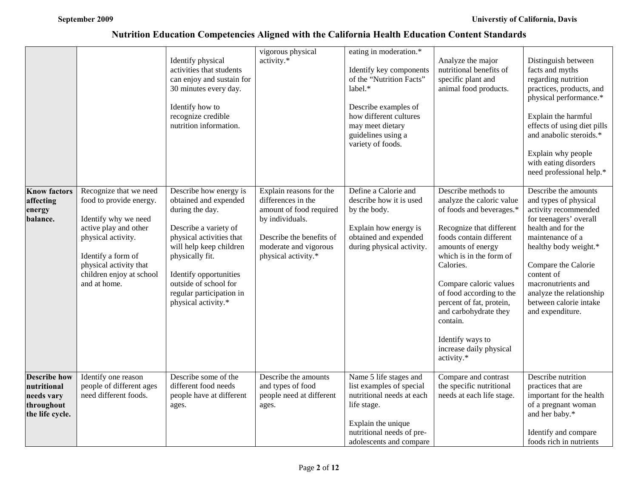|                                                                                   |                                                                                                                                                                                                                      | Identify physical<br>activities that students<br>can enjoy and sustain for<br>30 minutes every day.<br>Identify how to<br>recognize credible<br>nutrition information.                                                                                                      | vigorous physical<br>activity.*                                                                                                                                         | eating in moderation.*<br>Identify key components<br>of the "Nutrition Facts"<br>$label.*$<br>Describe examples of<br>how different cultures<br>may meet dietary<br>guidelines using a<br>variety of foods. | Analyze the major<br>nutritional benefits of<br>specific plant and<br>animal food products.                                                                                                                                                                                                                                                                                          | Distinguish between<br>facts and myths<br>regarding nutrition<br>practices, products, and<br>physical performance.*<br>Explain the harmful<br>effects of using diet pills<br>and anabolic steroids.*<br>Explain why people<br>with eating disorders<br>need professional help.*                         |
|-----------------------------------------------------------------------------------|----------------------------------------------------------------------------------------------------------------------------------------------------------------------------------------------------------------------|-----------------------------------------------------------------------------------------------------------------------------------------------------------------------------------------------------------------------------------------------------------------------------|-------------------------------------------------------------------------------------------------------------------------------------------------------------------------|-------------------------------------------------------------------------------------------------------------------------------------------------------------------------------------------------------------|--------------------------------------------------------------------------------------------------------------------------------------------------------------------------------------------------------------------------------------------------------------------------------------------------------------------------------------------------------------------------------------|---------------------------------------------------------------------------------------------------------------------------------------------------------------------------------------------------------------------------------------------------------------------------------------------------------|
| <b>Know factors</b><br>affecting<br>energy<br>balance.                            | Recognize that we need<br>food to provide energy.<br>Identify why we need<br>active play and other<br>physical activity.<br>Identify a form of<br>physical activity that<br>children enjoy at school<br>and at home. | Describe how energy is<br>obtained and expended<br>during the day.<br>Describe a variety of<br>physical activities that<br>will help keep children<br>physically fit.<br>Identify opportunities<br>outside of school for<br>regular participation in<br>physical activity.* | Explain reasons for the<br>differences in the<br>amount of food required<br>by individuals.<br>Describe the benefits of<br>moderate and vigorous<br>physical activity.* | Define a Calorie and<br>describe how it is used<br>by the body.<br>Explain how energy is<br>obtained and expended<br>during physical activity.                                                              | Describe methods to<br>analyze the caloric value<br>of foods and beverages.*<br>Recognize that different<br>foods contain different<br>amounts of energy<br>which is in the form of<br>Calories.<br>Compare caloric values<br>of food according to the<br>percent of fat, protein,<br>and carbohydrate they<br>contain.<br>Identify ways to<br>increase daily physical<br>activity.* | Describe the amounts<br>and types of physical<br>activity recommended<br>for teenagers' overall<br>health and for the<br>maintenance of a<br>healthy body weight.*<br>Compare the Calorie<br>content of<br>macronutrients and<br>analyze the relationship<br>between calorie intake<br>and expenditure. |
| <b>Describe how</b><br>nutritional<br>needs vary<br>throughout<br>the life cycle. | Identify one reason<br>people of different ages<br>need different foods.                                                                                                                                             | Describe some of the<br>different food needs<br>people have at different<br>ages.                                                                                                                                                                                           | Describe the amounts<br>and types of food<br>people need at different<br>ages.                                                                                          | Name 5 life stages and<br>list examples of special<br>nutritional needs at each<br>life stage.<br>Explain the unique<br>nutritional needs of pre-<br>adolescents and compare                                | Compare and contrast<br>the specific nutritional<br>needs at each life stage.                                                                                                                                                                                                                                                                                                        | Describe nutrition<br>practices that are<br>important for the health<br>of a pregnant woman<br>and her baby.*<br>Identify and compare<br>foods rich in nutrients                                                                                                                                        |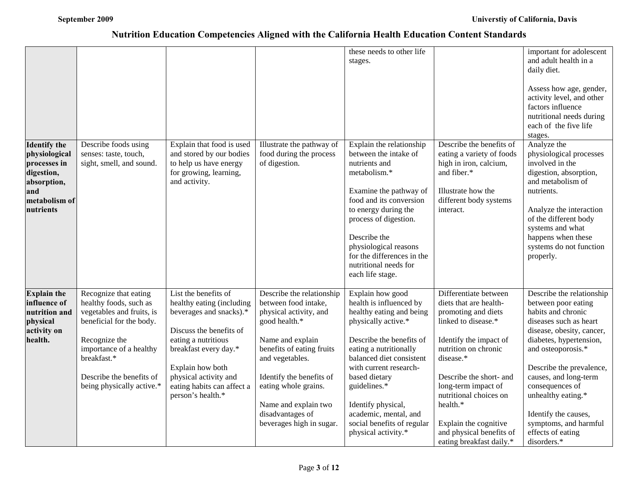|                                                                                                                        |                                                                                                                                                                                                                              |                                                                                                                                                                                                                                                         |                                                                                                                                                                                                                                                                                              | these needs to other life<br>stages.                                                                                                                                                                                                                                                                                                            |                                                                                                                                                                                                                                                                                                                                       | important for adolescent<br>and adult health in a<br>daily diet.<br>Assess how age, gender,<br>activity level, and other<br>factors influence<br>nutritional needs during<br>each of the five life<br>stages.                                                                                                                                                     |
|------------------------------------------------------------------------------------------------------------------------|------------------------------------------------------------------------------------------------------------------------------------------------------------------------------------------------------------------------------|---------------------------------------------------------------------------------------------------------------------------------------------------------------------------------------------------------------------------------------------------------|----------------------------------------------------------------------------------------------------------------------------------------------------------------------------------------------------------------------------------------------------------------------------------------------|-------------------------------------------------------------------------------------------------------------------------------------------------------------------------------------------------------------------------------------------------------------------------------------------------------------------------------------------------|---------------------------------------------------------------------------------------------------------------------------------------------------------------------------------------------------------------------------------------------------------------------------------------------------------------------------------------|-------------------------------------------------------------------------------------------------------------------------------------------------------------------------------------------------------------------------------------------------------------------------------------------------------------------------------------------------------------------|
| <b>Identify the</b><br>physiological<br>processes in<br>digestion,<br>absorption,<br>and<br>metabolism of<br>nutrients | Describe foods using<br>senses: taste, touch,<br>sight, smell, and sound.                                                                                                                                                    | Explain that food is used<br>and stored by our bodies<br>to help us have energy<br>for growing, learning,<br>and activity.                                                                                                                              | Illustrate the pathway of<br>food during the process<br>of digestion.                                                                                                                                                                                                                        | Explain the relationship<br>between the intake of<br>nutrients and<br>metabolism.*<br>Examine the pathway of<br>food and its conversion<br>to energy during the<br>process of digestion.<br>Describe the<br>physiological reasons<br>for the differences in the<br>nutritional needs for<br>each life stage.                                    | Describe the benefits of<br>eating a variety of foods<br>high in iron, calcium,<br>and fiber.*<br>Illustrate how the<br>different body systems<br>interact.                                                                                                                                                                           | Analyze the<br>physiological processes<br>involved in the<br>digestion, absorption,<br>and metabolism of<br>nutrients.<br>Analyze the interaction<br>of the different body<br>systems and what<br>happens when these<br>systems do not function<br>properly.                                                                                                      |
| <b>Explain the</b><br>influence of<br>nutrition and<br>physical<br>activity on<br>health.                              | Recognize that eating<br>healthy foods, such as<br>vegetables and fruits, is<br>beneficial for the body.<br>Recognize the<br>importance of a healthy<br>breakfast.*<br>Describe the benefits of<br>being physically active.* | List the benefits of<br>healthy eating (including<br>beverages and snacks).*<br>Discuss the benefits of<br>eating a nutritious<br>breakfast every day.*<br>Explain how both<br>physical activity and<br>eating habits can affect a<br>person's health.* | Describe the relationship<br>between food intake,<br>physical activity, and<br>good health.*<br>Name and explain<br>benefits of eating fruits<br>and vegetables.<br>Identify the benefits of<br>eating whole grains.<br>Name and explain two<br>disadvantages of<br>beverages high in sugar. | Explain how good<br>health is influenced by<br>healthy eating and being<br>physically active.*<br>Describe the benefits of<br>eating a nutritionally<br>balanced diet consistent<br>with current research-<br>based dietary<br>guidelines.*<br>Identify physical,<br>academic, mental, and<br>social benefits of regular<br>physical activity.* | Differentiate between<br>diets that are health-<br>promoting and diets<br>linked to disease.*<br>Identify the impact of<br>nutrition on chronic<br>disease.*<br>Describe the short- and<br>long-term impact of<br>nutritional choices on<br>health.*<br>Explain the cognitive<br>and physical benefits of<br>eating breakfast daily.* | Describe the relationship<br>between poor eating<br>habits and chronic<br>diseases such as heart<br>disease, obesity, cancer,<br>diabetes, hypertension,<br>and osteoporosis.*<br>Describe the prevalence,<br>causes, and long-term<br>consequences of<br>unhealthy eating.*<br>Identify the causes,<br>symptoms, and harmful<br>effects of eating<br>disorders.* |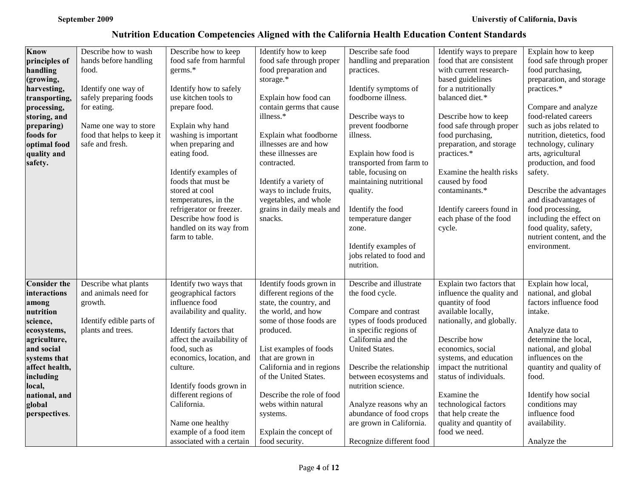| <b>Know</b><br>principles of<br>handling<br>(growing,<br>harvesting,<br>transporting,<br>processing,<br>storing, and<br>preparing)<br>foods for<br>optimal food<br>quality and<br>safety.                               | Describe how to wash<br>hands before handling<br>food.<br>Identify one way of<br>safely preparing foods<br>for eating.<br>Name one way to store<br>food that helps to keep it<br>safe and fresh. | Describe how to keep<br>food safe from harmful<br>germs.*<br>Identify how to safely<br>use kitchen tools to<br>prepare food.<br>Explain why hand<br>washing is important<br>when preparing and<br>eating food.<br>Identify examples of<br>foods that must be<br>stored at cool<br>temperatures, in the<br>refrigerator or freezer. | Identify how to keep<br>food safe through proper<br>food preparation and<br>storage.*<br>Explain how food can<br>contain germs that cause<br>illness.*<br>Explain what foodborne<br>illnesses are and how<br>these illnesses are<br>contracted.<br>Identify a variety of<br>ways to include fruits,<br>vegetables, and whole<br>grains in daily meals and | Describe safe food<br>handling and preparation<br>practices.<br>Identify symptoms of<br>foodborne illness.<br>Describe ways to<br>prevent foodborne<br>illness.<br>Explain how food is<br>transported from farm to<br>table, focusing on<br>maintaining nutritional<br>quality.<br>Identify the food                                 | Identify ways to prepare<br>food that are consistent<br>with current research-<br>based guidelines<br>for a nutritionally<br>balanced diet.*<br>Describe how to keep<br>food safe through proper<br>food purchasing,<br>preparation, and storage<br>practices.*<br>Examine the health risks<br>caused by food<br>contaminants.*<br>Identify careers found in | Explain how to keep<br>food safe through proper<br>food purchasing,<br>preparation, and storage<br>practices.*<br>Compare and analyze<br>food-related careers<br>such as jobs related to<br>nutrition, dietetics, food<br>technology, culinary<br>arts, agricultural<br>production, and food<br>safety.<br>Describe the advantages<br>and disadvantages of<br>food processing, |
|-------------------------------------------------------------------------------------------------------------------------------------------------------------------------------------------------------------------------|--------------------------------------------------------------------------------------------------------------------------------------------------------------------------------------------------|------------------------------------------------------------------------------------------------------------------------------------------------------------------------------------------------------------------------------------------------------------------------------------------------------------------------------------|-----------------------------------------------------------------------------------------------------------------------------------------------------------------------------------------------------------------------------------------------------------------------------------------------------------------------------------------------------------|--------------------------------------------------------------------------------------------------------------------------------------------------------------------------------------------------------------------------------------------------------------------------------------------------------------------------------------|--------------------------------------------------------------------------------------------------------------------------------------------------------------------------------------------------------------------------------------------------------------------------------------------------------------------------------------------------------------|--------------------------------------------------------------------------------------------------------------------------------------------------------------------------------------------------------------------------------------------------------------------------------------------------------------------------------------------------------------------------------|
|                                                                                                                                                                                                                         |                                                                                                                                                                                                  | Describe how food is<br>handled on its way from<br>farm to table.                                                                                                                                                                                                                                                                  | snacks.                                                                                                                                                                                                                                                                                                                                                   | temperature danger<br>zone.<br>Identify examples of<br>jobs related to food and<br>nutrition.                                                                                                                                                                                                                                        | each phase of the food<br>cycle.                                                                                                                                                                                                                                                                                                                             | including the effect on<br>food quality, safety,<br>nutrient content, and the<br>environment.                                                                                                                                                                                                                                                                                  |
| <b>Consider the</b><br>interactions<br>among<br>nutrition<br>science,<br>ecosystems,<br>agriculture,<br>and social<br>systems that<br>affect health,<br>including<br>local,<br>national, and<br>global<br>perspectives. | Describe what plants<br>and animals need for<br>growth.<br>Identify edible parts of<br>plants and trees.                                                                                         | Identify two ways that<br>geographical factors<br>influence food<br>availability and quality.<br>Identify factors that<br>affect the availability of<br>food, such as<br>economics, location, and<br>culture.<br>Identify foods grown in<br>different regions of<br>California.<br>Name one healthy<br>example of a food item      | Identify foods grown in<br>different regions of the<br>state, the country, and<br>the world, and how<br>some of those foods are<br>produced.<br>List examples of foods<br>that are grown in<br>California and in regions<br>of the United States.<br>Describe the role of food<br>webs within natural<br>systems.<br>Explain the concept of               | Describe and illustrate<br>the food cycle.<br>Compare and contrast<br>types of foods produced<br>in specific regions of<br>California and the<br><b>United States.</b><br>Describe the relationship<br>between ecosystems and<br>nutrition science.<br>Analyze reasons why an<br>abundance of food crops<br>are grown in California. | Explain two factors that<br>influence the quality and<br>quantity of food<br>available locally,<br>nationally, and globally.<br>Describe how<br>economics, social<br>systems, and education<br>impact the nutritional<br>status of individuals.<br>Examine the<br>technological factors<br>that help create the<br>quality and quantity of<br>food we need.  | Explain how local,<br>national, and global<br>factors influence food<br>intake.<br>Analyze data to<br>determine the local,<br>national, and global<br>influences on the<br>quantity and quality of<br>food.<br>Identify how social<br>conditions may<br>influence food<br>availability.                                                                                        |
|                                                                                                                                                                                                                         |                                                                                                                                                                                                  | associated with a certain                                                                                                                                                                                                                                                                                                          | food security.                                                                                                                                                                                                                                                                                                                                            | Recognize different food                                                                                                                                                                                                                                                                                                             |                                                                                                                                                                                                                                                                                                                                                              | Analyze the                                                                                                                                                                                                                                                                                                                                                                    |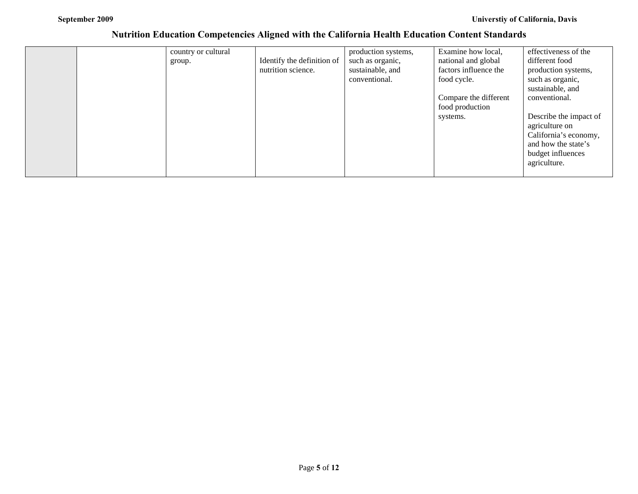|  | country or cultural |                            | production systems, | Examine how local,    | effectiveness of the   |
|--|---------------------|----------------------------|---------------------|-----------------------|------------------------|
|  | group.              | Identify the definition of | such as organic,    | national and global   | different food         |
|  |                     | nutrition science.         | sustainable, and    | factors influence the | production systems,    |
|  |                     |                            | conventional.       | food cycle.           | such as organic,       |
|  |                     |                            |                     |                       | sustainable, and       |
|  |                     |                            |                     | Compare the different | conventional.          |
|  |                     |                            |                     | food production       |                        |
|  |                     |                            |                     | systems.              | Describe the impact of |
|  |                     |                            |                     |                       | agriculture on         |
|  |                     |                            |                     |                       | California's economy,  |
|  |                     |                            |                     |                       | and how the state's    |
|  |                     |                            |                     |                       | budget influences      |
|  |                     |                            |                     |                       | agriculture.           |
|  |                     |                            |                     |                       |                        |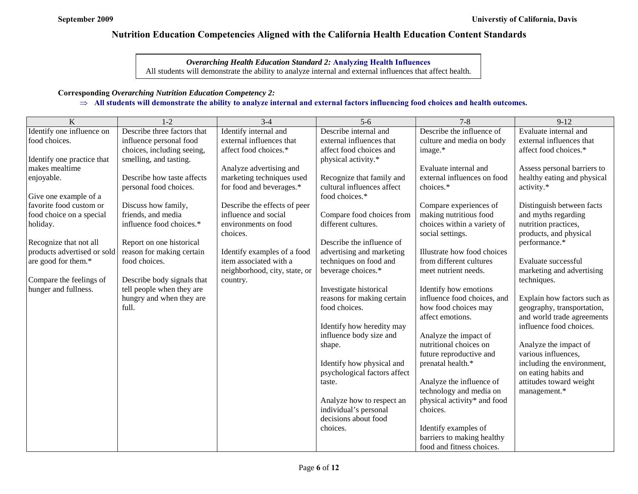## *Overarching Health Education Standard 2:* **Analyzing Health Influences**

All students will demonstrate the ability to analyze internal and external influences that affect health.

## **Corresponding** *Overarching Nutrition Education Competency 2:*

## ⇒ **All students will demonstrate the ability to analyze internal and external factors influencing food choices and health outcomes.**

| K                           | $1 - 2$                           | $3 - 4$                       | $5-6$                                       | $7 - 8$                                              | $9 - 12$                                                 |
|-----------------------------|-----------------------------------|-------------------------------|---------------------------------------------|------------------------------------------------------|----------------------------------------------------------|
| Identify one influence on   | Describe three factors that       | Identify internal and         | Describe internal and                       | Describe the influence of                            | Evaluate internal and                                    |
| food choices.               | influence personal food           | external influences that      | external influences that                    | culture and media on body                            | external influences that                                 |
|                             | choices, including seeing,        | affect food choices.*         | affect food choices and                     | image.*                                              | affect food choices.*                                    |
| Identify one practice that  | smelling, and tasting.            |                               | physical activity.*                         |                                                      |                                                          |
| makes mealtime              |                                   | Analyze advertising and       |                                             | Evaluate internal and                                | Assess personal barriers to                              |
| enjoyable.                  | Describe how taste affects        | marketing techniques used     | Recognize that family and                   | external influences on food                          | healthy eating and physical                              |
|                             | personal food choices.            | for food and beverages.*      | cultural influences affect                  | choices.*                                            | activity.*                                               |
| Give one example of a       |                                   |                               | food choices.*                              |                                                      |                                                          |
| favorite food custom or     | Discuss how family,               | Describe the effects of peer  |                                             | Compare experiences of                               | Distinguish between facts                                |
| food choice on a special    | friends, and media                | influence and social          | Compare food choices from                   | making nutritious food                               | and myths regarding                                      |
| holiday.                    | influence food choices.*          | environments on food          | different cultures.                         | choices within a variety of                          | nutrition practices,                                     |
|                             |                                   | choices.                      |                                             | social settings.                                     | products, and physical                                   |
| Recognize that not all      | Report on one historical          |                               | Describe the influence of                   |                                                      | performance.*                                            |
| products advertised or sold | reason for making certain         | Identify examples of a food   | advertising and marketing                   | Illustrate how food choices                          |                                                          |
| are good for them.*         | food choices.                     | item associated with a        | techniques on food and                      | from different cultures                              | Evaluate successful                                      |
|                             |                                   | neighborhood, city, state, or | beverage choices.*                          | meet nutrient needs.                                 | marketing and advertising                                |
| Compare the feelings of     | Describe body signals that        | country.                      |                                             |                                                      | techniques.                                              |
| hunger and fullness.        | tell people when they are         |                               | Investigate historical                      | Identify how emotions<br>influence food choices, and |                                                          |
|                             | hungry and when they are<br>full. |                               | reasons for making certain<br>food choices. | how food choices may                                 | Explain how factors such as                              |
|                             |                                   |                               |                                             | affect emotions.                                     | geography, transportation,<br>and world trade agreements |
|                             |                                   |                               | Identify how heredity may                   |                                                      | influence food choices.                                  |
|                             |                                   |                               | influence body size and                     | Analyze the impact of                                |                                                          |
|                             |                                   |                               | shape.                                      | nutritional choices on                               | Analyze the impact of                                    |
|                             |                                   |                               |                                             | future reproductive and                              | various influences,                                      |
|                             |                                   |                               | Identify how physical and                   | prenatal health.*                                    | including the environment,                               |
|                             |                                   |                               | psychological factors affect                |                                                      | on eating habits and                                     |
|                             |                                   |                               | taste.                                      | Analyze the influence of                             | attitudes toward weight                                  |
|                             |                                   |                               |                                             | technology and media on                              | management.*                                             |
|                             |                                   |                               | Analyze how to respect an                   | physical activity* and food                          |                                                          |
|                             |                                   |                               | individual's personal                       | choices.                                             |                                                          |
|                             |                                   |                               | decisions about food                        |                                                      |                                                          |
|                             |                                   |                               | choices.                                    | Identify examples of                                 |                                                          |
|                             |                                   |                               |                                             | barriers to making healthy                           |                                                          |
|                             |                                   |                               |                                             | food and fitness choices.                            |                                                          |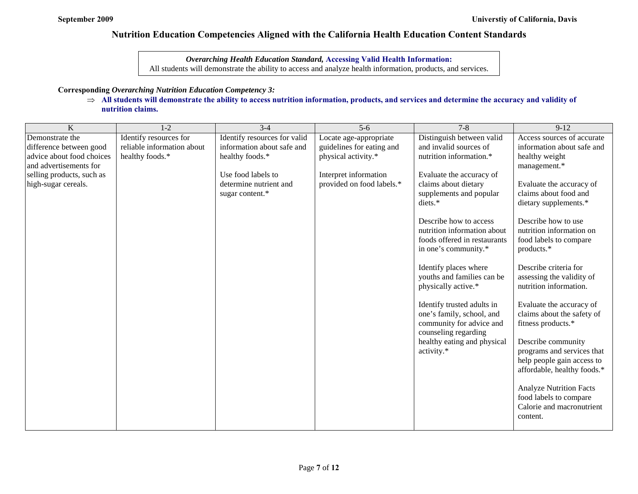*Overarching Health Education Standard,* **Accessing Valid Health Information:** All students will demonstrate the ability to access and analyze health information, products, and services.

#### **Corresponding** *Overarching Nutrition Education Competency 3:*

⇒ **All students will demonstrate the ability to access nutrition information, products, and services and determine the accuracy and validity of nutrition claims.**

| $\bf K$                                          | $1 - 2$                    | $3 - 4$                      | $5-6$                                              | $7 - 8$                                          | $9 - 12$                                         |
|--------------------------------------------------|----------------------------|------------------------------|----------------------------------------------------|--------------------------------------------------|--------------------------------------------------|
| Demonstrate the                                  | Identify resources for     | Identify resources for valid | Locate age-appropriate                             | Distinguish between valid                        | Access sources of accurate                       |
| difference between good                          | reliable information about | information about safe and   | guidelines for eating and                          | and invalid sources of                           | information about safe and                       |
| advice about food choices                        | healthy foods.*            | healthy foods.*              | physical activity.*                                | nutrition information.*                          | healthy weight                                   |
| and advertisements for                           |                            | Use food labels to           |                                                    |                                                  | management.*                                     |
| selling products, such as<br>high-sugar cereals. |                            | determine nutrient and       | Interpret information<br>provided on food labels.* | Evaluate the accuracy of<br>claims about dietary | Evaluate the accuracy of                         |
|                                                  |                            | sugar content.*              |                                                    | supplements and popular                          | claims about food and                            |
|                                                  |                            |                              |                                                    | diets.*                                          | dietary supplements.*                            |
|                                                  |                            |                              |                                                    |                                                  |                                                  |
|                                                  |                            |                              |                                                    | Describe how to access                           | Describe how to use                              |
|                                                  |                            |                              |                                                    | nutrition information about                      | nutrition information on                         |
|                                                  |                            |                              |                                                    | foods offered in restaurants                     | food labels to compare                           |
|                                                  |                            |                              |                                                    | in one's community.*                             | products.*                                       |
|                                                  |                            |                              |                                                    | Identify places where                            | Describe criteria for                            |
|                                                  |                            |                              |                                                    | youths and families can be                       | assessing the validity of                        |
|                                                  |                            |                              |                                                    | physically active.*                              | nutrition information.                           |
|                                                  |                            |                              |                                                    |                                                  |                                                  |
|                                                  |                            |                              |                                                    | Identify trusted adults in                       | Evaluate the accuracy of                         |
|                                                  |                            |                              |                                                    | one's family, school, and                        | claims about the safety of                       |
|                                                  |                            |                              |                                                    | community for advice and                         | fitness products.*                               |
|                                                  |                            |                              |                                                    | counseling regarding                             |                                                  |
|                                                  |                            |                              |                                                    | healthy eating and physical<br>activity.*        | Describe community<br>programs and services that |
|                                                  |                            |                              |                                                    |                                                  | help people gain access to                       |
|                                                  |                            |                              |                                                    |                                                  | affordable, healthy foods.*                      |
|                                                  |                            |                              |                                                    |                                                  |                                                  |
|                                                  |                            |                              |                                                    |                                                  | <b>Analyze Nutrition Facts</b>                   |
|                                                  |                            |                              |                                                    |                                                  | food labels to compare                           |
|                                                  |                            |                              |                                                    |                                                  | Calorie and macronutrient                        |
|                                                  |                            |                              |                                                    |                                                  | content.                                         |
|                                                  |                            |                              |                                                    |                                                  |                                                  |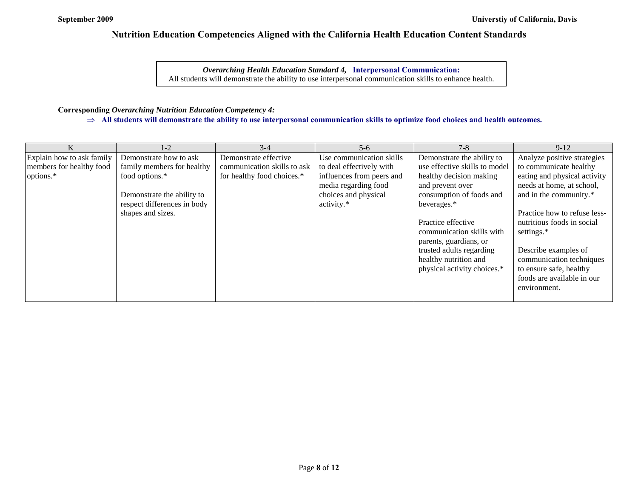*Overarching Health Education Standard 4,* **Interpersonal Communication:** All students will demonstrate the ability to use interpersonal communication skills to enhance health.

## **Corresponding** *Overarching Nutrition Education Competency 4:*

⇒ **All students will demonstrate the ability to use interpersonal communication skills to optimize food choices and health outcomes.**

|                           | $1 - 2$                     | $3-4$                       | $5-6$                     | $7 - 8$                       | $9-12$                       |
|---------------------------|-----------------------------|-----------------------------|---------------------------|-------------------------------|------------------------------|
| Explain how to ask family | Demonstrate how to ask      | Demonstrate effective       | Use communication skills  | Demonstrate the ability to    | Analyze positive strategies  |
| members for healthy food  | family members for healthy  | communication skills to ask | to deal effectively with  | use effective skills to model | to communicate healthy       |
| options.*                 | food options.*              | for healthy food choices.*  | influences from peers and | healthy decision making       | eating and physical activity |
|                           |                             |                             | media regarding food      | and prevent over              | needs at home, at school,    |
|                           | Demonstrate the ability to  |                             | choices and physical      | consumption of foods and      | and in the community.*       |
|                           | respect differences in body |                             | activity.*                | beverages.*                   |                              |
|                           | shapes and sizes.           |                             |                           |                               | Practice how to refuse less- |
|                           |                             |                             |                           | Practice effective            | nutritious foods in social   |
|                           |                             |                             |                           | communication skills with     | settings.*                   |
|                           |                             |                             |                           | parents, guardians, or        |                              |
|                           |                             |                             |                           | trusted adults regarding      | Describe examples of         |
|                           |                             |                             |                           | healthy nutrition and         | communication techniques     |
|                           |                             |                             |                           | physical activity choices.*   | to ensure safe, healthy      |
|                           |                             |                             |                           |                               | foods are available in our   |
|                           |                             |                             |                           |                               | environment.                 |
|                           |                             |                             |                           |                               |                              |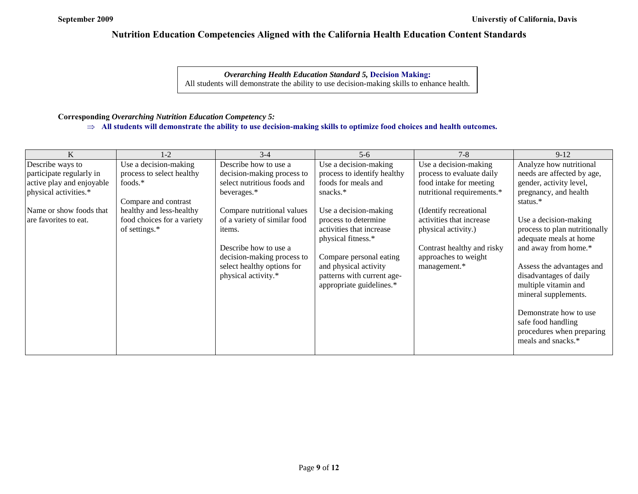*Overarching Health Education Standard 5,* **Decision Making:** All students will demonstrate the ability to use decision-making skills to enhance health.

## **Corresponding** *Overarching Nutrition Education Competency 5:*

⇒ **All students will demonstrate the ability to use decision-making skills to optimize food choices and health outcomes.**

| K                         | $1-2$                      | $3-4$                        | $5-6$                       | $7 - 8$                    | $9-12$                        |
|---------------------------|----------------------------|------------------------------|-----------------------------|----------------------------|-------------------------------|
| Describe ways to          | Use a decision-making      | Describe how to use a        | Use a decision-making       | Use a decision-making      | Analyze how nutritional       |
| participate regularly in  | process to select healthy  | decision-making process to   | process to identify healthy | process to evaluate daily  | needs are affected by age,    |
| active play and enjoyable | foods.*                    | select nutritious foods and  | foods for meals and         | food intake for meeting    | gender, activity level,       |
| physical activities.*     |                            | beverages.*                  | snacks.*                    | nutritional requirements.* | pregnancy, and health         |
|                           | Compare and contrast       |                              |                             |                            | status.*                      |
| Name or show foods that   | healthy and less-healthy   | Compare nutritional values   | Use a decision-making       | (Identify recreational     |                               |
| are favorites to eat.     | food choices for a variety | of a variety of similar food | process to determine        | activities that increase   | Use a decision-making         |
|                           | of settings.*              | items.                       | activities that increase    | physical activity.)        | process to plan nutritionally |
|                           |                            |                              | physical fitness.*          |                            | adequate meals at home        |
|                           |                            | Describe how to use a        |                             | Contrast healthy and risky | and away from home.*          |
|                           |                            | decision-making process to   | Compare personal eating     | approaches to weight       |                               |
|                           |                            | select healthy options for   | and physical activity       | management.*               | Assess the advantages and     |
|                           |                            | physical activity.*          | patterns with current age-  |                            | disadvantages of daily        |
|                           |                            |                              | appropriate guidelines.*    |                            | multiple vitamin and          |
|                           |                            |                              |                             |                            | mineral supplements.          |
|                           |                            |                              |                             |                            |                               |
|                           |                            |                              |                             |                            | Demonstrate how to use        |
|                           |                            |                              |                             |                            | safe food handling            |
|                           |                            |                              |                             |                            | procedures when preparing     |
|                           |                            |                              |                             |                            | meals and snacks.*            |
|                           |                            |                              |                             |                            |                               |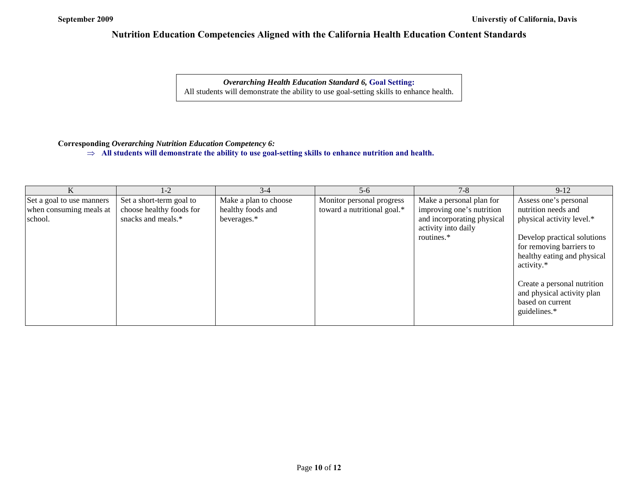*Overarching Health Education Standard 6,* **Goal Setting:** All students will demonstrate the ability to use goal-setting skills to enhance health.

## **Corresponding** *Overarching Nutrition Education Competency 6:*

⇒ **All students will demonstrate the ability to use goal-setting skills to enhance nutrition and health.**

|                                                                 | 1-2                                                                        | $3 - 4$                                                   | $5 - 6$                                                  | $7 - 8$                                                                                                                  | $9-12$                                                                                                                                                                            |
|-----------------------------------------------------------------|----------------------------------------------------------------------------|-----------------------------------------------------------|----------------------------------------------------------|--------------------------------------------------------------------------------------------------------------------------|-----------------------------------------------------------------------------------------------------------------------------------------------------------------------------------|
| Set a goal to use manners<br>when consuming meals at<br>school. | Set a short-term goal to<br>choose healthy foods for<br>snacks and meals.* | Make a plan to choose<br>healthy foods and<br>beverages.* | Monitor personal progress<br>toward a nutritional goal.* | Make a personal plan for<br>improving one's nutrition<br>and incorporating physical<br>activity into daily<br>routines.* | Assess one's personal<br>nutrition needs and<br>physical activity level.*<br>Develop practical solutions<br>for removing barriers to<br>healthy eating and physical<br>activity.* |
|                                                                 |                                                                            |                                                           |                                                          |                                                                                                                          | Create a personal nutrition<br>and physical activity plan<br>based on current<br>guidelines.*                                                                                     |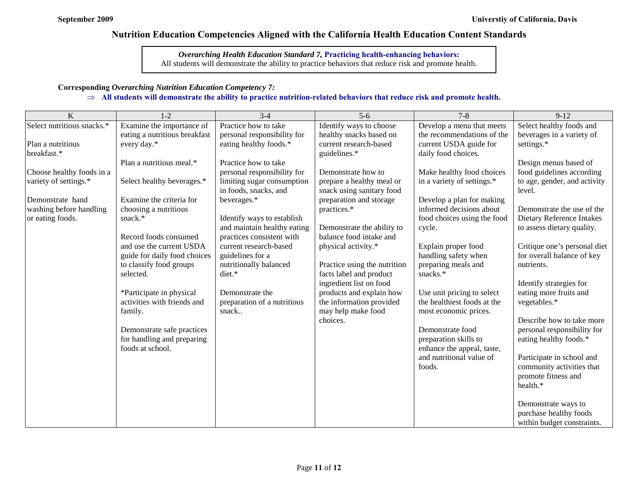*Overarching Health Education Standard 7,* **Practicing health-enhancing behaviors:** All students will demonstrate the ability to practice behaviors that reduce risk and promote health.

#### **Corresponding** *Overarching Nutrition Education Competency 7:*

#### ⇒ **All students will demonstrate the ability to practice nutrition-related behaviors that reduce risk and promote health.**

| K                          | $1-2$                                | $3-4$                                      | $5-6$                        | $7 - 8$                                     | $9-12$                                   |
|----------------------------|--------------------------------------|--------------------------------------------|------------------------------|---------------------------------------------|------------------------------------------|
| Select nutritious snacks.* | Examine the importance of            | Practice how to take                       | Identify ways to choose      | Develop a menu that meets                   | Select healthy foods and                 |
|                            | eating a nutritious breakfast        | personal responsibility for                | healthy snacks based on      | the recommendations of the                  | beverages in a variety of                |
| Plan a nutritious          | every day.*                          | eating healthy foods.*                     | current research-based       | current USDA guide for                      | settings.*                               |
| breakfast.*                |                                      |                                            | guidelines.*                 | daily food choices.                         |                                          |
|                            | Plan a nutritious meal.*             | Practice how to take                       |                              |                                             | Design menus based of                    |
| Choose healthy foods in a  |                                      | personal responsibility for                | Demonstrate how to           | Make healthy food choices                   | food guidelines according                |
| variety of settings.*      | Select healthy beverages.*           | limiting sugar consumption                 | prepare a healthy meal or    | in a variety of settings.*                  | to age, gender, and activity             |
|                            |                                      | in foods, snacks, and                      | snack using sanitary food    |                                             | level.                                   |
| Demonstrate hand           | Examine the criteria for             | beverages.*                                | preparation and storage      | Develop a plan for making                   |                                          |
| washing before handling    | choosing a nutritious                |                                            | practices.*                  | informed decisions about                    | Demonstrate the use of the               |
| or eating foods.           | snack.*                              | Identify ways to establish                 |                              | food choices using the food                 | Dietary Reference Intakes                |
|                            |                                      | and maintain healthy eating                | Demonstrate the ability to   | cycle.                                      | to assess dietary quality.               |
|                            | Record foods consumed                | practices consistent with                  | balance food intake and      |                                             |                                          |
|                            | and use the current USDA             | current research-based                     | physical activity.*          | Explain proper food                         | Critique one's personal diet             |
|                            | guide for daily food choices         | guidelines for a<br>nutritionally balanced | Practice using the nutrition | handling safety when<br>preparing meals and | for overall balance of key<br>nutrients. |
|                            | to classify food groups<br>selected. | diet.*                                     | facts label and product      | snacks.*                                    |                                          |
|                            |                                      |                                            | ingredient list on food      |                                             | Identify strategies for                  |
|                            | *Participate in physical             | Demonstrate the                            | products and explain how     | Use unit pricing to select                  | eating more fruits and                   |
|                            | activities with friends and          | preparation of a nutritious                | the information provided     | the healthiest foods at the                 | vegetables.*                             |
|                            | family.                              | snack                                      | may help make food           | most economic prices.                       |                                          |
|                            |                                      |                                            | choices.                     |                                             | Describe how to take more                |
|                            | Demonstrate safe practices           |                                            |                              | Demonstrate food                            | personal responsibility for              |
|                            | for handling and preparing           |                                            |                              | preparation skills to                       | eating healthy foods.*                   |
|                            | foods at school.                     |                                            |                              | enhance the appeal, taste,                  |                                          |
|                            |                                      |                                            |                              | and nutritional value of                    | Participate in school and                |
|                            |                                      |                                            |                              | foods.                                      | community activities that                |
|                            |                                      |                                            |                              |                                             | promote fitness and                      |
|                            |                                      |                                            |                              |                                             | health.*                                 |
|                            |                                      |                                            |                              |                                             |                                          |
|                            |                                      |                                            |                              |                                             | Demonstrate ways to                      |
|                            |                                      |                                            |                              |                                             | purchase healthy foods                   |
|                            |                                      |                                            |                              |                                             | within budget constraints.               |